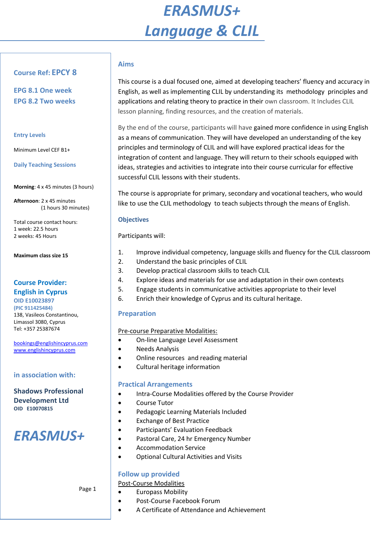# *ERASMUS+ Language & CLIL*

## **Course Ref: EPCY 8**

**EPG 8.1 One week EPG 8.2 Two weeks**

#### **Entry Levels**

Minimum Level CEF B1+

**Daily Teaching Sessions**

**Morning**: 4 x 45 minutes (3 hours)

**Afternoon**: 2 x 45 minutes (1 hours 30 minutes)

Total course contact hours: 1 week: 22.5 hours 2 weeks: 45 Hours

**Maximum class size 15**

## **Course Provider: English in Cyprus**

**OID E10023897 (PIC 911425484)**  138, Vasileos Constantinou, Limassol 3080, Cyprus Tel: +357 25387674

[bookings@englishincyprus.com](mailto:bookings@englishincyprus.com)  [www.englishincyprus.com](http://www.englishincyprus.com/) 

## **in association with:**

**Shadows Professional Development Ltd OID E10070815**

## *ERASMUS+*

## **Aims**

This course is a dual focused one, aimed at developing teachers' fluency and accuracy in English, as well as implementing CLIL by understanding its methodology principles and applications and relating theory to practice in their own classroom. It Includes CLIL lesson planning, finding resources, and the creation of materials.

By the end of the course, participants will have gained more confidence in using English as a means of communication. They will have developed an understanding of the key principles and terminology of CLIL and will have explored practical ideas for the integration of content and language. They will return to their schools equipped with ideas, strategies and activities to integrate into their course curricular for effective successful CLIL lessons with their students.

The course is appropriate for primary, secondary and vocational teachers, who would like to use the CLIL methodology to teach subjects through the means of English.

#### **Objectives**

Participants will:

- 1. Improve individual competency, language skills and fluency for the CLIL classroom
- 2. Understand the basic principles of CLIL
- 3. Develop practical classroom skills to teach CLIL
- 4. Explore ideas and materials for use and adaptation in their own contexts
- 5. Engage students in communicative activities appropriate to their level
- 6. Enrich their knowledge of Cyprus and its cultural heritage.

## **Preparation**

## Pre-course Preparative Modalities:

- On-line Language Level Assessment
- Needs Analysis
- Online resources and reading material
- Cultural heritage information

## **Practical Arrangements**

- Intra-Course Modalities offered by the Course Provider
- Course Tutor
- Pedagogic Learning Materials Included
- Exchange of Best Practice
- Participants' Evaluation Feedback
- Pastoral Care, 24 hr Emergency Number
- Accommodation Service
- Optional Cultural Activities and Visits

## **Follow up provided**

Post-Course Modalities

- Europass Mobility
- Post-Course Facebook Forum
	- A Certificate of Attendance and Achievement

Page 1